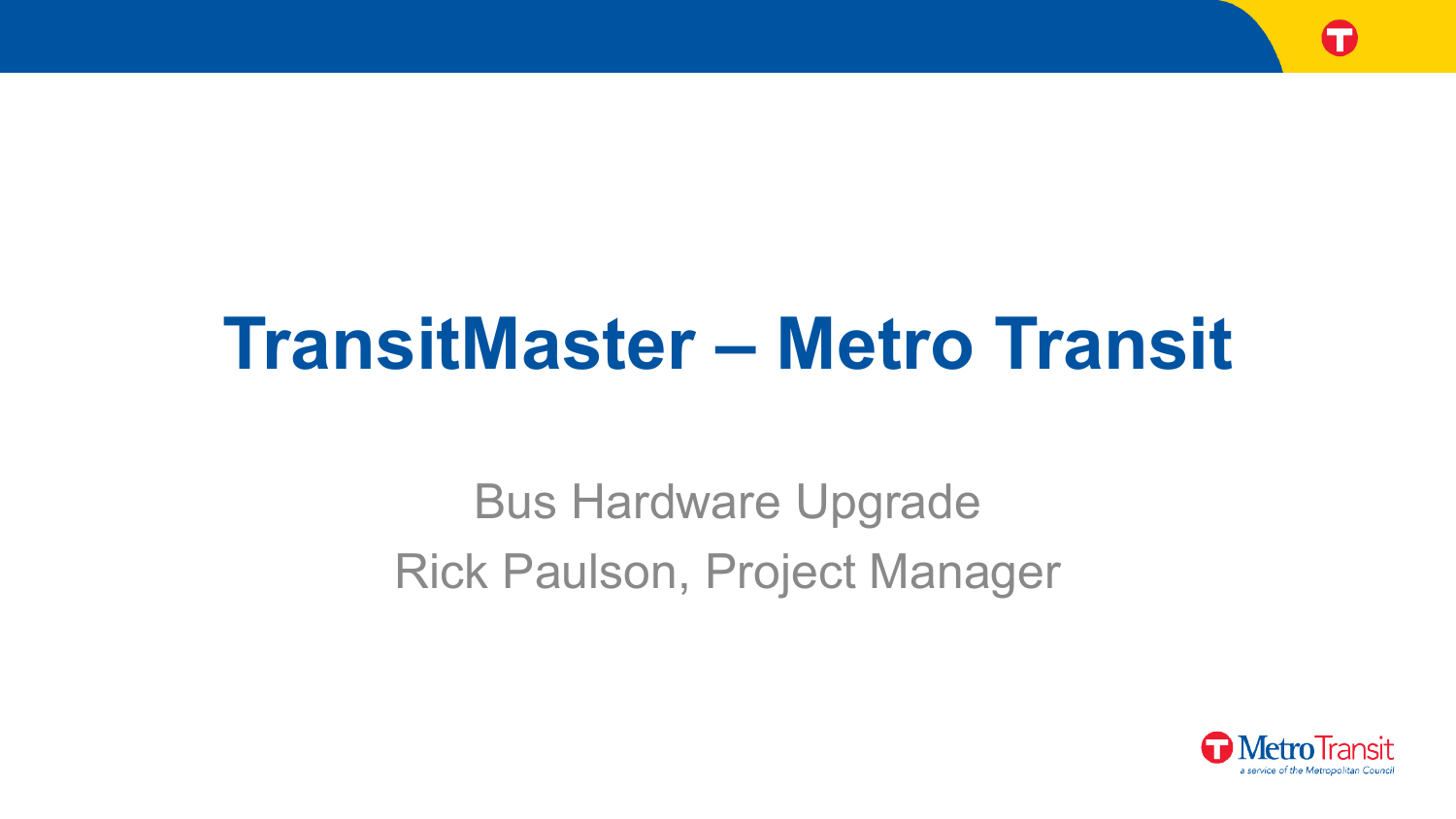

# **TransitMaster – Metro Transit**

Bus Hardware Upgrade Rick Paulson, Project Manager

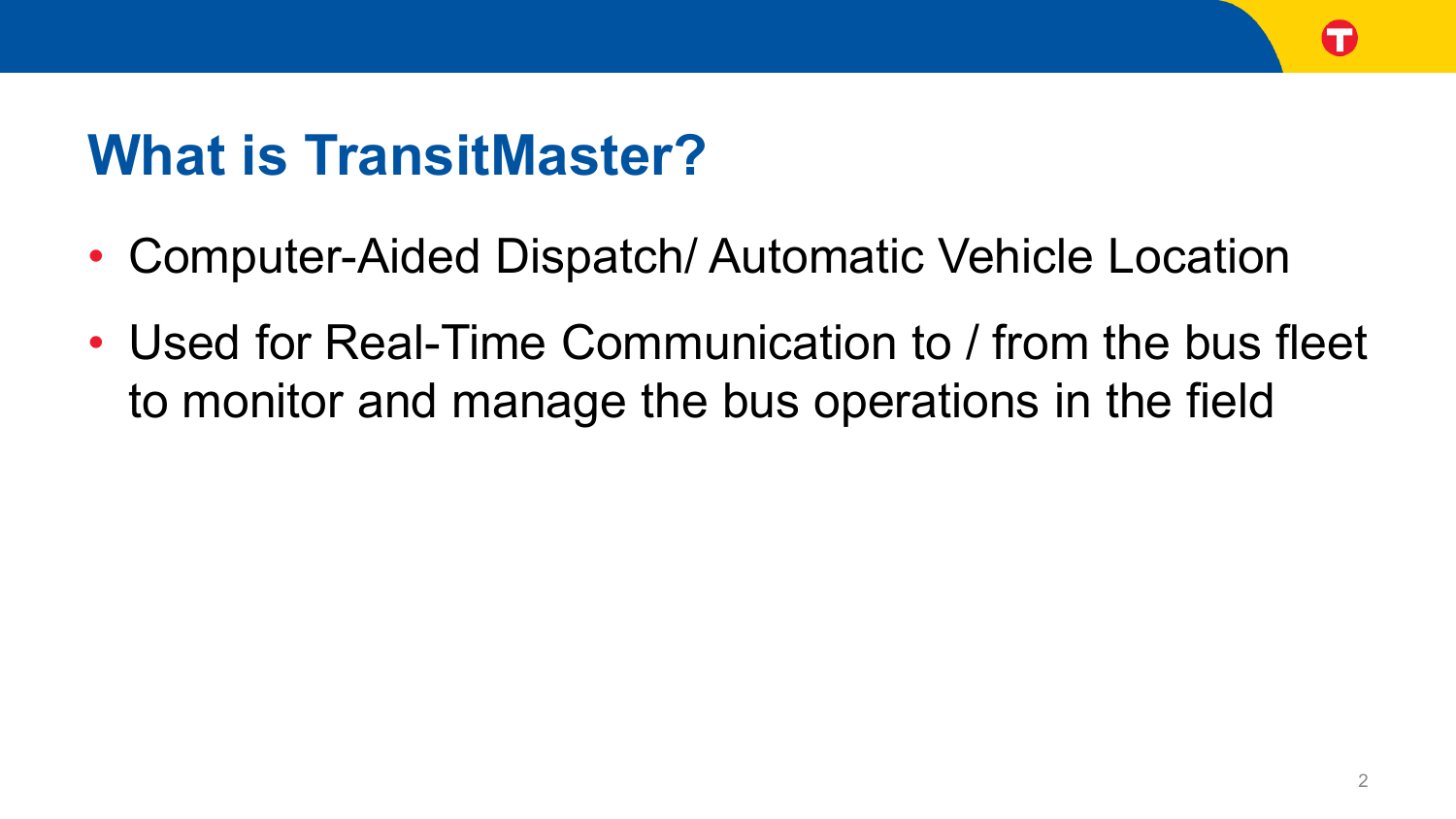

### **What is TransitMaster?**

- Computer-Aided Dispatch/ Automatic Vehicle Location
- Used for Real-Time Communication to / from the bus fleet to monitor and manage the bus operations in the field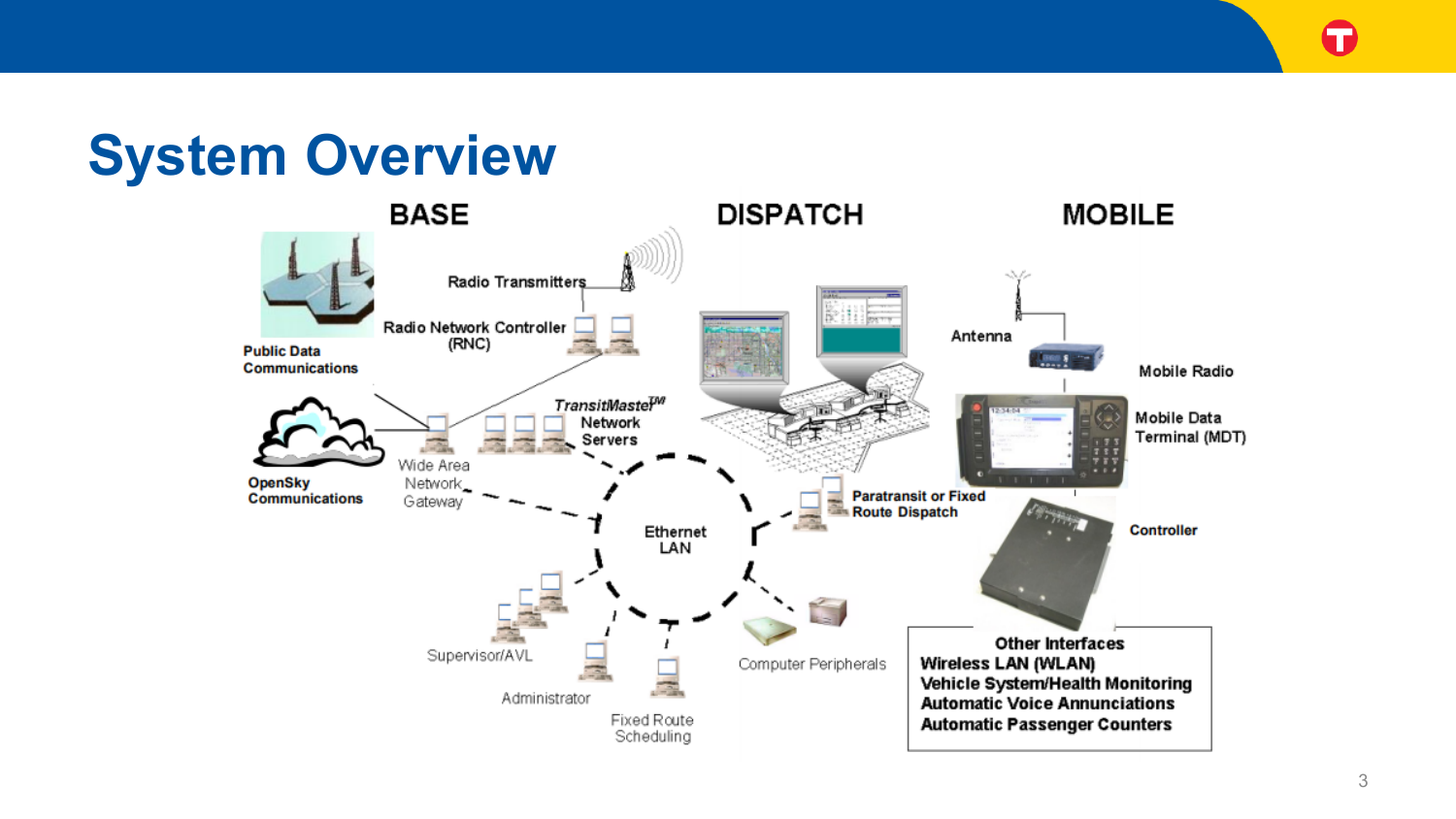G

#### **System Overview**

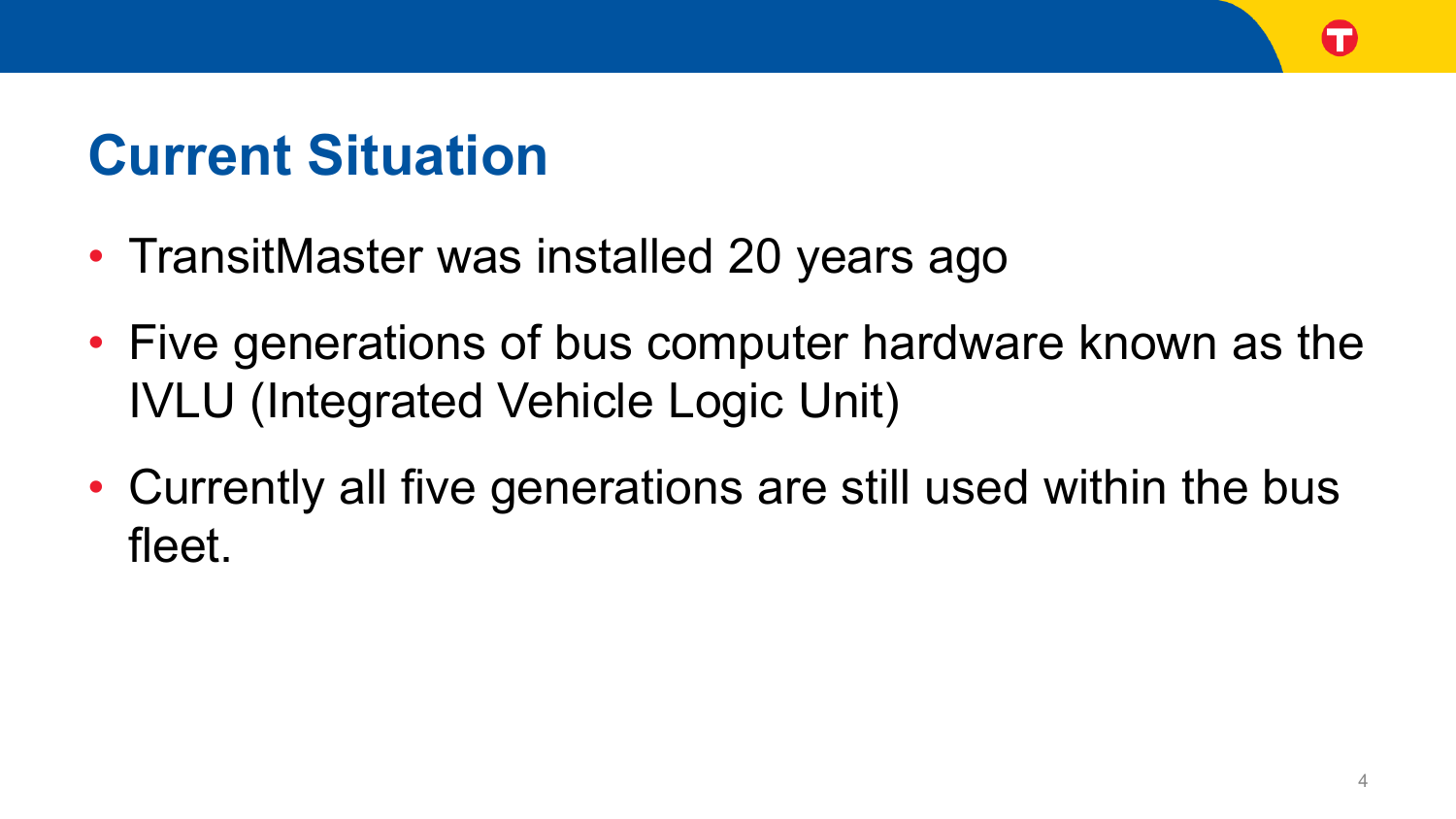## **Current Situation**

- TransitMaster was installed 20 years ago
- Five generations of bus computer hardware known as the IVLU (Integrated Vehicle Logic Unit)
- Currently all five generations are still used within the bus fleet.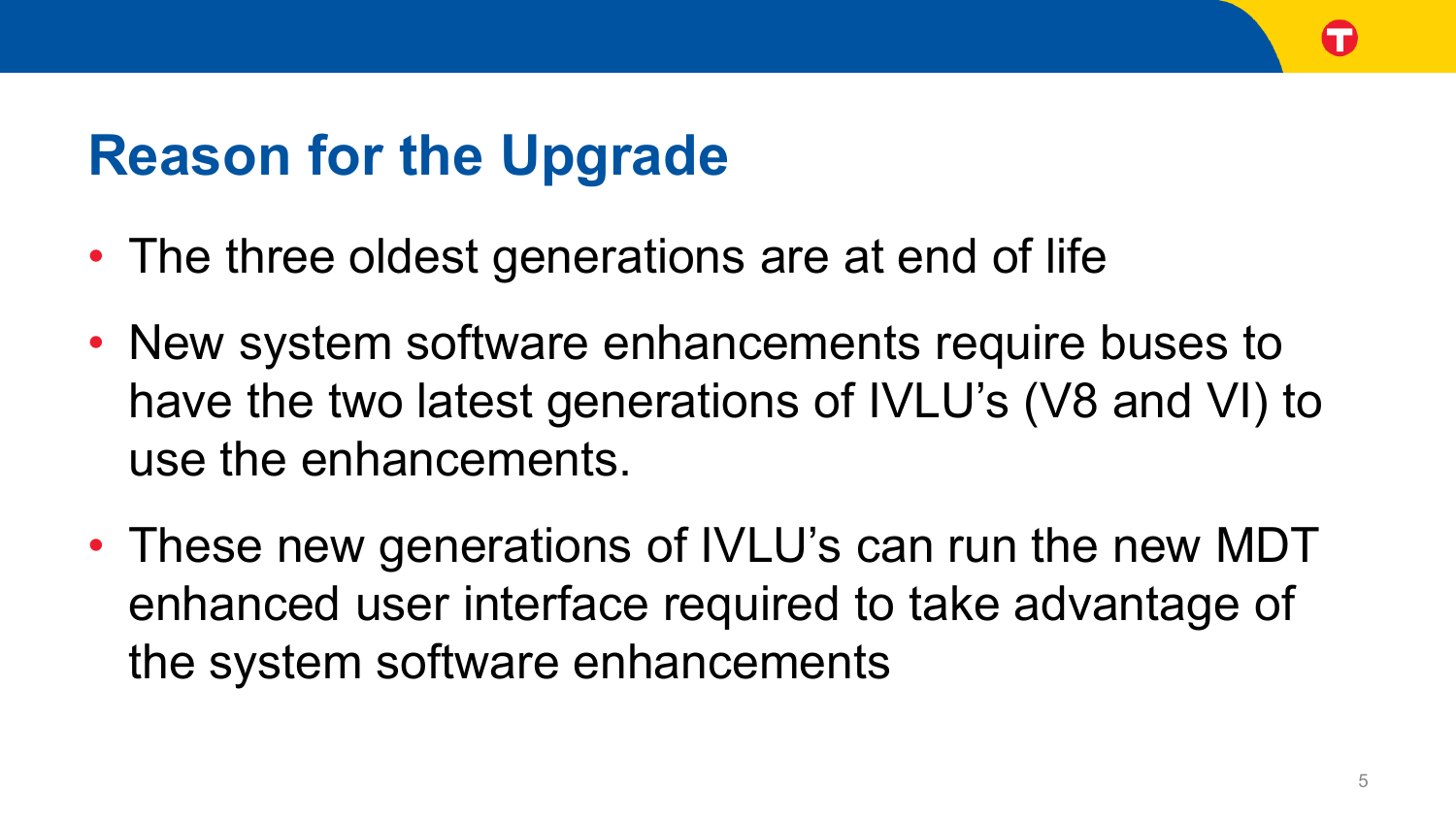### **Reason for the Upgrade**

- The three oldest generations are at end of life
- New system software enhancements require buses to have the two latest generations of IVLU's (V8 and VI) to use the enhancements.
- These new generations of IVLU's can run the new MDT enhanced user interface required to take advantage of the system software enhancements